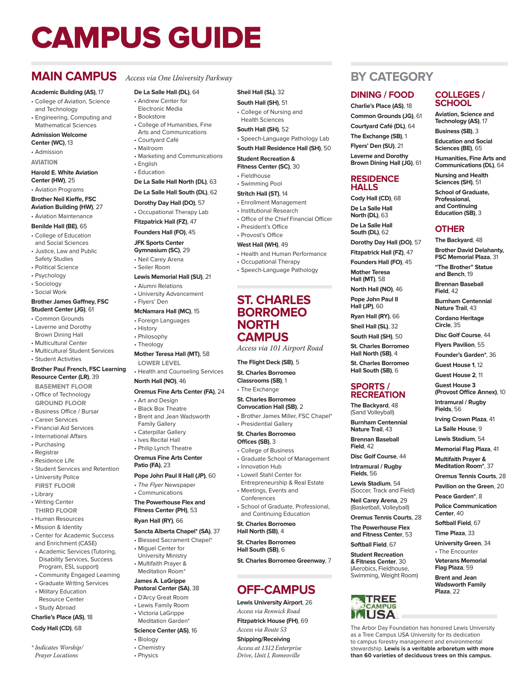# CAMPUS GUIDE

## **MAIN CAMPUS** *Access via One University Parkway*

#### **Academic Building (AS)**, 17

- College of Aviation, Science and Technology
- Engineering, Computing and Mathematical Sciences

#### **Admission Welcome**

- **Center (WC)**, 13 • Admission
- **AVIATION**

#### **Harold E. White Aviation Center (HW)**, 25

• Aviation Programs

#### **Brother Neil Kieffe, FSC Aviation Building (HW)**, 27

- Aviation Maintenance **Benilde Hall (BE)**, 65
- College of Education and Social Sciences
- Justice, Law and Public Safety Studies
- Political Science
- Psychology
- Sociology
- Social Work

#### **Brother James Gaffney, FSC Student Center (JG)**, 61

- Common Grounds • Laverne and Dorothy Brown Dining Hall
- Multicultural Center
- Multicultural Student Services • Student Activities

#### **Brother Paul French, FSC Learning**

#### **Resource Center (LR)**, 39

- **BASEMENT FLOOR**
- Office of Technology **GROUND FLOOR**
- Business Office / Bursar
- Career Services
- Financial Aid Services
- International Affairs
- Purchasing
- Registrar
- Residence Life
- Student Services and Retention
- University Police
- **FIRST FLOOR**
- Library
- Writing Center **THIRD FLOOR**
- Human Resources
- Mission & Identity
- Center for Academic Success and Enrichment (CASE)
- Academic Services (Tutoring, Disability Services, Success Program, ESL support)
- Community Engaged Learning
- Graduate Writing Services • Military Education
- Resource Center • Study Abroad

#### **Charlie's Place (AS)**, 18

#### **Cody Hall (CD)**, 68

*\* Indicates Worship/ Prayer Locations*

**Sheil Hall (SL)**, 32 **South Hall (SH)**, 51 • College of Nursing and Health Sciences **South Hall (SH)**, 52

**Student Recreation & Fitness Center (SC)**, 30 • Fieldhouse • Swimming Pool **Stritch Hall (ST)**, 14 • Enrollment Management • Institutional Research

• President's Office • Provost's Office **West Hall (WH)**, 49

• Speech-Language Pathology Lab **South Hall Residence Hall (SH)**, 50

• Office of the Chief Financial Officer

• Health and Human Performance • Occupational Therapy • Speech-Language Pathology

**ST. CHARLES BORROMEO** 

*Access via 101 Airport Road*

• Graduate School of Management

• School of Graduate, Professional, and Continuing Education **St. Charles Borromeo Hall North (SB)**, 4 **St. Charles Borromeo Hall South (SB)**, 6

**St. Charles Borromeo Greenway**, 7

**OFF-CAMPUS Lewis University Airport**, 26 *Access via Renwick Road* **Fitzpatrick House (FH)**, 69 *Access via Route 53* **Shipping/Receiving** *Access at 1312 Enterprise Drive, Unit J, Romeoville*

**The Flight Deck (SB)**, 5 **St. Charles Borromeo Classrooms (SB)**, 1 • The Exchange **St. Charles Borromeo Convocation Hall (SB)**, 2 • Brother James Miller, FSC Chapel\*

• Presidential Gallery **St. Charles Borromeo Offices (SB)**, 3 • College of Business

• Innovation Hub • Lowell Stahl Center for Entrepreneurship & Real Estate • Meetings, Events and Conferences

**NORTH CAMPUS** **BY CATEGORY**

**COLLEGES / SCHOOL Aviation, Science and Technology (AS)**, 17 **Business (SB)**, 3 **Education and Social Sciences (BE)**, 65 **Humanities, Fine Arts and Communications (DL)**, 64 **Nursing and Health Sciences (SH)**, 51 **School of Graduate, Professional, and Continuing Education (SB)**, 3

**OTHER The Backyard**, 48 **Brother David Delahanty, FSC Memorial Plaza**, 31 **"The Brother" Statue and Bench**, 19 **Brennan Baseball Field**, 42

**Burnham Centennial Nature Trail**, 43 **Cordano Heritage Circle**, 35

**Disc Golf Course**, 44 **Flyers Pavilion**, 55 **Founder's Garden\***, 36 **Guest House 1**, 12 **Guest House 2**, 11 **Guest House 3 (Provost Office Annex)**, 10 **Intramural / Rugby Fields**, 56

**Irving Crown Plaza**, 41 **La Salle House**, 9 **Lewis Stadium**, 54 **Memorial Flag Plaza**, 41 **Multifaith Prayer & Meditation Room\***, 37 **Oremus Tennis Courts**, 28 **Pavilion on the Green**, 20 **Peace Garden\***, 8 **Police Communication** 

**Center**, 40 **Softball Field**, 67 **Time Plaza**, 33 **University Green**, 34 • The Encounter **Veterans Memorial Flag Plaza**, 59 **Brent and Jean Wadsworth Family Plaza**, 22

The Arbor Day Foundation has honored Lewis University as a Tree Campus USA University for its dedication to campus forestry management and environmental stewardship. **Lewis is a veritable arboretum with more than 60 varieties of deciduous trees on this campus.**

**DINING / FOOD Charlie's Place (AS)**, 18 **Common Grounds (JG)**, 61 **Courtyard Café (DL)**, 64 **The Exchange (SB)**, 1 **Flyers' Den (SU)**, 21 **Laverne and Dorothy Brown Dining Hall (JG)**, 61

**RESIDENCE HALLS Cody Hall (CD)**, 68 **De La Salle Hall North (DL)**, 63 **De La Salle Hall South (DL)**, 62

**Dorothy Day Hall (DO)**, 57 **Fitzpatrick Hall (FZ)**, 47 **Founders Hall (FO)**, 45 **Mother Teresa Hall (MT)**, 58 **North Hall (NO)**, 46 **Pope John Paul II Hall (JP)**, 60 **Ryan Hall (RY)**, 66 **Sheil Hall (SL)**, 32 **South Hall (SH)**, 50 **St. Charles Borromeo Hall North (SB)**, 4 **St. Charles Borromeo Hall South (SB)**, 6 **SPORTS / RECREATION The Backyard**, 48 (Sand Volleyball) **Burnham Centennial Nature Trail**, 43 **Brennan Baseball Field**, 42

**Disc Golf Course**, 44 **Intramural / Rugby Fields**, 56 **Lewis Stadium**, 54 (Soccer, Track and Field) **Neil Carey Arena**, 29 (Basketball, Volleyball) **Oremus Tennis Courts**, 28 **The Powerhouse Flex and Fitness Center**, 53 **Softball Field**, 67 **Student Recreation & Fitness Center**, 30 (Aerobics, Fieldhouse, Swimming, Weight Room)

> **TREE**<br>CAMPUS USA.

- **De La Salle Hall (DL)**, 64 • Andrew Center for
- Electronic Media
- Bookstore
- College of Humanities, Fine Arts and Communications
- Courtyard Café
- Mailroom
- Marketing and Communications
- English • Education
- - **De La Salle Hall North (DL)**, 63

#### **De La Salle Hall South (DL)**, 62

- **Dorothy Day Hall (DO)**, 57
- Occupational Therapy Lab
- **Fitzpatrick Hall (FZ)**, 47
- **Founders Hall (FO)**, 45

#### **JFK Sports Center**

- **Gymnasium (SC)**, 29
- Neil Carey Arena • Seiler Room
- 

### **Lewis Memorial Hall (SU)**, 21

- Alumni Relations • University Advancement
- Flyers' Den
- **McNamara Hall (MC)**, 15
- Foreign Languages
- History • Philosophy
- Theology
- **Mother Teresa Hall (MT)**, 58 **LOWER LEVEL**

#### • Health and Counseling Services **North Hall (NO)**, 46

#### **Oremus Fine Arts Center (FA)**, 24

- Art and Design
- Black Box Theatre • Brent and Jean Wadsworth
- Family Gallery
- Caterpillar Gallery • Ives Recital Hall
- Philip Lynch Theatre
- **Oremus Fine Arts Center**

# **Patio (FA)**, 23

- **Pope John Paul II Hall (JP)**, 60
- The Flyer Newspaper • Communications

#### **The Powerhouse Flex and Fitness Center (PH)**, 53

#### **Ryan Hall (RY)**, 66

#### **Sancta Alberta Chapel\* (SA)**, 37

- Blessed Sacrament Chapel\* • Miguel Center for
- University Ministry • Multifaith Prayer & Meditation Room\*

#### **James A. LaGrippe**

- **Pastoral Center (SA)**, 38
- D'Arcy Great Room
- Lewis Family Room
- Victoria LaGrippe
- Meditation Garden<sup>\*</sup>
- **Science Center (AS)**, 16

#### • Biology • Chemistry • Physics